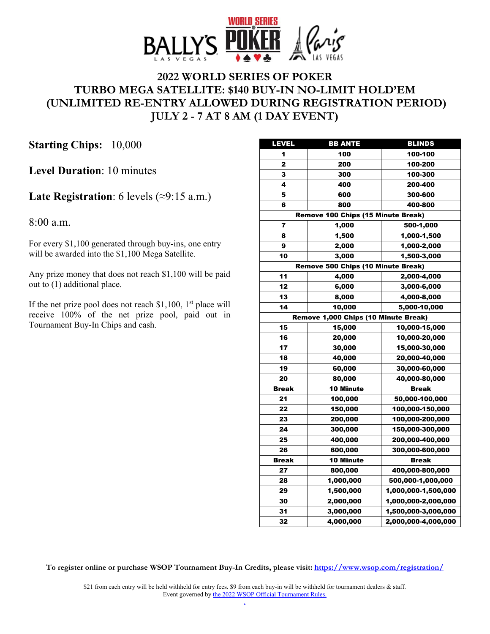

# **2022 WORLD SERIES OF POKER TURBO MEGA SATELLITE: \$140 BUY-IN NO-LIMIT HOLD'EM (UNLIMITED RE-ENTRY ALLOWED DURING REGISTRATION PERIOD) JULY 2 - 7 AT 8 AM (1 DAY EVENT)**

**Starting Chips:** 10,000

**Level Duration**: 10 minutes

### **Late Registration**: 6 levels (≈9:15 a.m.)

8:00 a.m.

For every \$1,100 generated through buy-ins, one entry will be awarded into the \$1,100 Mega Satellite.

Any prize money that does not reach \$1,100 will be paid out to (1) additional place.

If the net prize pool does not reach \$1,100,  $1<sup>st</sup>$  place will receive 100% of the net prize pool, paid out in Tournament Buy-In Chips and cash.

| <b>LEVEL</b>                         | <b>BB ANTE</b>                     | <b>BLINDS</b>       |  |
|--------------------------------------|------------------------------------|---------------------|--|
| 1                                    | 100                                | 100-100             |  |
| 2                                    | 200                                | 100-200             |  |
| 3                                    | 300                                | 100-300             |  |
| 4                                    | 400                                | 200-400             |  |
| 5                                    | 600                                | 300-600             |  |
| 6                                    | 800                                | 400-800             |  |
|                                      | Remove 100 Chips (15 Minute Break) |                     |  |
| 7                                    | 1,000                              | 500-1,000           |  |
| 8                                    | 1,500                              | 1,000-1,500         |  |
| 9                                    | 2,000                              | 1,000-2,000         |  |
| 10                                   | 3,000                              | 1,500-3,000         |  |
|                                      | Remove 500 Chips (10 Minute Break) |                     |  |
| 11                                   | 4,000                              | 2,000-4,000         |  |
| 12                                   | 6,000                              | 3,000-6,000         |  |
| 13                                   | 8,000                              | 4,000-8,000         |  |
| 14                                   | 10,000                             | 5,000-10,000        |  |
| Remove 1,000 Chips (10 Minute Break) |                                    |                     |  |
| 15                                   | 15,000                             | 10,000-15,000       |  |
| 16                                   | 20,000                             | 10,000-20,000       |  |
| 17                                   | 30,000                             | 15,000-30,000       |  |
| 18                                   | 40,000                             | 20,000-40,000       |  |
| 19                                   | 60,000                             | 30,000-60,000       |  |
| 20                                   | 80,000                             | 40,000-80,000       |  |
| <b>Break</b>                         | <b>10 Minute</b>                   | <b>Break</b>        |  |
| 21                                   | 100,000                            | 50,000-100,000      |  |
| 22                                   | 150,000                            | 100,000-150,000     |  |
| 23                                   | 200,000                            | 100,000-200,000     |  |
| 24                                   | 300,000                            | 150,000-300,000     |  |
| 25                                   | 400,000                            | 200,000-400,000     |  |
| 26                                   | 600,000                            | 300,000-600,000     |  |
| <b>Break</b>                         | <b>10 Minute</b>                   | <b>Break</b>        |  |
| 27                                   | 800,000                            | 400,000-800,000     |  |
| 28                                   | 1,000,000                          | 500,000-1,000,000   |  |
| 29                                   | 1,500,000                          | 1,000,000-1,500,000 |  |
| 30                                   | 2,000,000                          | 1,000,000-2,000,000 |  |
| 31                                   | 3,000,000                          | 1,500,000-3,000,000 |  |
| 32                                   | 4,000,000                          | 2,000,000-4,000,000 |  |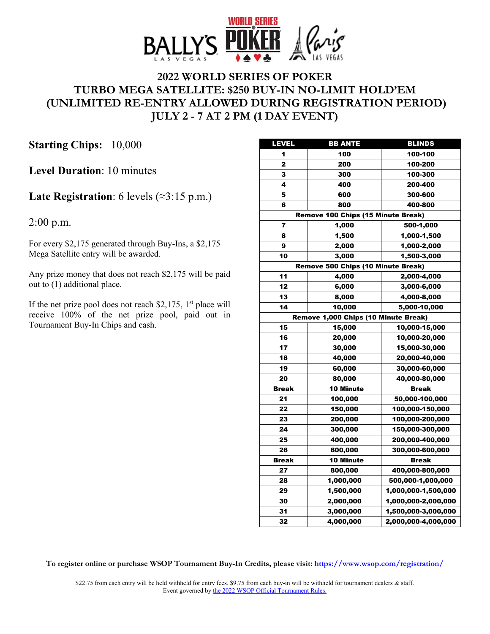

# **2022 WORLD SERIES OF POKER TURBO MEGA SATELLITE: \$250 BUY-IN NO-LIMIT HOLD'EM (UNLIMITED RE-ENTRY ALLOWED DURING REGISTRATION PERIOD) JULY 2 - 7 AT 2 PM (1 DAY EVENT)**

**Starting Chips:** 10,000

**Level Duration**: 10 minutes

### **Late Registration**: 6 levels (≈3:15 p.m.)

2:00 p.m.

For every \$2,175 generated through Buy-Ins, a \$2,175 Mega Satellite entry will be awarded.

Any prize money that does not reach \$2,175 will be paid out to (1) additional place.

If the net prize pool does not reach \$2,175,  $1<sup>st</sup>$  place will receive 100% of the net prize pool, paid out in Tournament Buy-In Chips and cash.

| <b>LEVEL</b> | <b>BB ANTE</b>                       | <b>BLINDS</b>       |
|--------------|--------------------------------------|---------------------|
| 1            | 100                                  | 100-100             |
| 2            | 200                                  | 100-200             |
| 3            | 300                                  | 100-300             |
| 4            | 400                                  | 200-400             |
| 5            | 600                                  | 300-600             |
| 6            | 800                                  | 400-800             |
|              | Remove 100 Chips (15 Minute Break)   |                     |
| 7            | 1,000                                | 500-1,000           |
| 8            | 1,500                                | 1,000-1,500         |
| 9            | 2,000                                | 1,000-2,000         |
| 10           | 3,000                                | 1,500-3,000         |
|              | Remove 500 Chips (10 Minute Break)   |                     |
| 11           | 4,000                                | 2,000-4,000         |
| 12           | 6,000                                | 3,000-6,000         |
| 13           | 8,000                                | 4,000-8,000         |
| 14           | 10,000                               | 5,000-10,000        |
|              | Remove 1,000 Chips (10 Minute Break) |                     |
| 15           | 15,000                               | 10,000-15,000       |
| 16           | 20,000                               | 10,000-20,000       |
| 17           | 30,000                               | 15,000-30,000       |
| 18           | 40,000                               | 20,000-40,000       |
| 19           | 60,000                               | 30,000-60,000       |
| 20           | 80,000                               | 40,000-80,000       |
| <b>Break</b> | <b>10 Minute</b>                     | <b>Break</b>        |
| 21           | 100,000                              | 50,000-100,000      |
| 22           | 150,000                              | 100,000-150,000     |
| 23           | 200,000                              | 100,000-200,000     |
| 24           | 300,000                              | 150,000-300,000     |
| 25           | 400,000                              | 200,000-400,000     |
| 26           | 600,000                              | 300,000-600,000     |
| <b>Break</b> | <b>10 Minute</b>                     | <b>Break</b>        |
| 27           | 800,000                              | 400,000-800,000     |
| 28           | 1,000,000                            | 500,000-1,000,000   |
| 29           | 1,500,000                            | 1,000,000-1,500,000 |
| 30           | 2,000,000                            | 1,000,000-2,000,000 |
| 31           | 3,000,000                            | 1,500,000-3,000,000 |
| 32           | 4,000,000                            | 2,000,000-4,000,000 |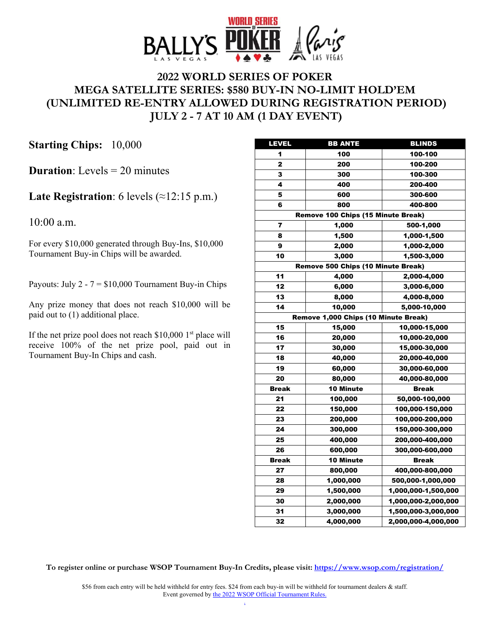

# **2022 WORLD SERIES OF POKER MEGA SATELLITE SERIES: \$580 BUY-IN NO-LIMIT HOLD'EM (UNLIMITED RE-ENTRY ALLOWED DURING REGISTRATION PERIOD) JULY 2 - 7 AT 10 AM (1 DAY EVENT)**

**Starting Chips:** 10,000

**Duration**: Levels = 20 minutes

### **Late Registration**: 6 levels (≈12:15 p.m.)

10:00 a.m.

For every \$10,000 generated through Buy-Ins, \$10,000 Tournament Buy-in Chips will be awarded.

Payouts: July  $2 - 7 = $10,000$  Tournament Buy-in Chips

Any prize money that does not reach \$10,000 will be paid out to (1) additional place.

If the net prize pool does not reach  $$10,000$  1<sup>st</sup> place will receive 100% of the net prize pool, paid out in Tournament Buy-In Chips and cash.

| LEVEL                              | <b>BB ANTE</b>                       | <b>BLINDS</b>       |
|------------------------------------|--------------------------------------|---------------------|
| 1                                  | 100                                  | 100-100             |
| $\overline{2}$                     | 200                                  | 100-200             |
| 3                                  | 300                                  | 100-300             |
| 4                                  | 400                                  | 200-400             |
| 5                                  | 600                                  | 300-600             |
| 6                                  | 800                                  | 400-800             |
|                                    | Remove 100 Chips (15 Minute Break)   |                     |
| 7                                  | 1,000                                | 500-1,000           |
| 8                                  | 1,500                                | 1,000-1,500         |
| 9                                  | 2,000                                | 1,000-2,000         |
| 10                                 | 3,000                                | 1,500-3,000         |
| Remove 500 Chips (10 Minute Break) |                                      |                     |
| 11                                 | 4,000                                | 2,000-4,000         |
| 12                                 | 6,000                                | 3,000-6,000         |
| 13                                 | 8,000                                | 4,000-8,000         |
| 14                                 | 10,000                               | 5,000-10,000        |
|                                    | Remove 1,000 Chips (10 Minute Break) |                     |
| 15                                 | 15,000                               | 10,000-15,000       |
| 16                                 | 20,000                               | 10,000-20,000       |
| 17                                 | 30,000                               | 15,000-30,000       |
| 18                                 | 40,000                               | 20,000-40,000       |
| 19                                 | 60,000                               | 30,000-60,000       |
| 20                                 | 80,000                               | 40,000-80,000       |
| <b>Break</b>                       | <b>10 Minute</b>                     | <b>Break</b>        |
| 21                                 | 100,000                              | 50,000-100,000      |
| 22                                 | 150,000                              | 100,000-150,000     |
| 23                                 | 200,000                              | 100,000-200,000     |
| 24                                 | 300,000                              | 150,000-300,000     |
| 25                                 | 400,000                              | 200,000-400,000     |
| 26                                 | 600,000                              | 300,000-600,000     |
| <b>Break</b>                       | 10 Minute                            | <b>Break</b>        |
| 27                                 | 800,000                              | 400,000-800,000     |
| 28                                 | 1,000,000                            | 500,000-1,000,000   |
| 29                                 | 1,500,000                            | 1,000,000-1,500,000 |
| 30                                 | 2,000,000                            | 1,000,000-2,000,000 |
| 31                                 | 3,000,000                            | 1,500,000-3,000,000 |
| 32                                 | 4,000,000                            | 2,000,000-4,000,000 |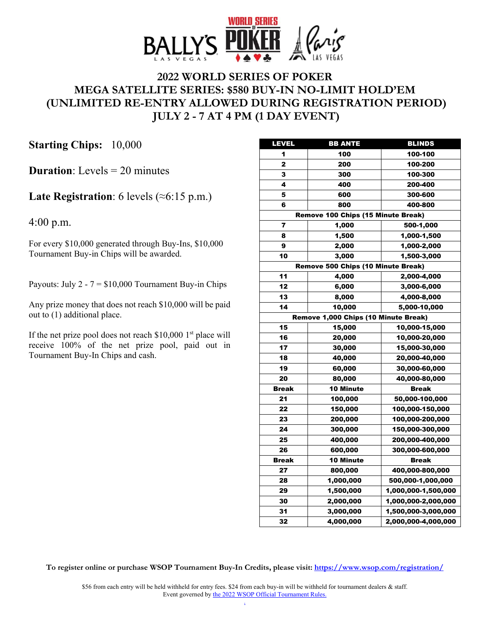

# **2022 WORLD SERIES OF POKER MEGA SATELLITE SERIES: \$580 BUY-IN NO-LIMIT HOLD'EM (UNLIMITED RE-ENTRY ALLOWED DURING REGISTRATION PERIOD) JULY 2 - 7 AT 4 PM (1 DAY EVENT)**

**Starting Chips:** 10,000

**Duration**: Levels = 20 minutes

### **Late Registration**: 6 levels (≈6:15 p.m.)

4:00 p.m.

For every \$10,000 generated through Buy-Ins, \$10,000 Tournament Buy-in Chips will be awarded.

Payouts: July  $2 - 7 = $10,000$  Tournament Buy-in Chips

Any prize money that does not reach \$10,000 will be paid out to (1) additional place.

If the net prize pool does not reach  $$10,000$  1<sup>st</sup> place will receive 100% of the net prize pool, paid out in Tournament Buy-In Chips and cash.

| <b>LEVEL</b>                         | <b>BB ANTE</b>                     | <b>BLINDS</b>       |
|--------------------------------------|------------------------------------|---------------------|
| 1                                    | 100                                | 100-100             |
| $\overline{2}$                       | 200                                | 100-200             |
| 3                                    | 300                                | 100-300             |
| 4                                    | 400                                | 200-400             |
| 5                                    | 600                                | 300-600             |
| 6                                    | 800                                | 400-800             |
|                                      | Remove 100 Chips (15 Minute Break) |                     |
| 7                                    | 1,000                              | 500-1,000           |
| 8                                    | 1,500                              | 1,000-1,500         |
| 9                                    | 2,000                              | 1,000-2,000         |
| 10                                   | 3,000                              | 1,500-3,000         |
|                                      | Remove 500 Chips (10 Minute Break) |                     |
| 11                                   | 4,000                              | 2,000-4,000         |
| 12                                   | 6,000                              | 3,000-6,000         |
| 13                                   | 8,000                              | 4,000-8,000         |
| 14                                   | 10,000                             | 5,000-10,000        |
| Remove 1,000 Chips (10 Minute Break) |                                    |                     |
| 15                                   | 15,000                             | 10,000-15,000       |
| 16                                   | 20,000                             | 10,000-20,000       |
| 17                                   | 30,000                             | 15,000-30,000       |
| 18                                   | 40,000                             | 20,000-40,000       |
| 19                                   | 60,000                             | 30,000-60,000       |
| 20                                   | 80,000                             | 40,000-80,000       |
| <b>Break</b>                         | <b>10 Minute</b>                   | <b>Break</b>        |
| 21                                   | 100,000                            | 50,000-100,000      |
| 22                                   | 150,000                            | 100,000-150,000     |
| 23                                   | 200,000                            | 100,000-200,000     |
| 24                                   | 300,000                            | 150,000-300,000     |
| 25                                   | 400,000                            | 200,000-400,000     |
| 26                                   | 600,000                            | 300,000-600,000     |
| <b>Break</b>                         | <b>10 Minute</b>                   | <b>Break</b>        |
| 27                                   | 800,000                            | 400,000-800,000     |
| 28                                   | 1,000,000                          | 500,000-1,000,000   |
| 29                                   | 1,500,000                          | 1,000,000-1,500,000 |
| 30                                   | 2,000,000                          | 1,000,000-2,000,000 |
| 31                                   | 3,000,000                          | 1,500,000-3,000,000 |
| 32                                   | 4,000,000                          | 2,000,000-4,000,000 |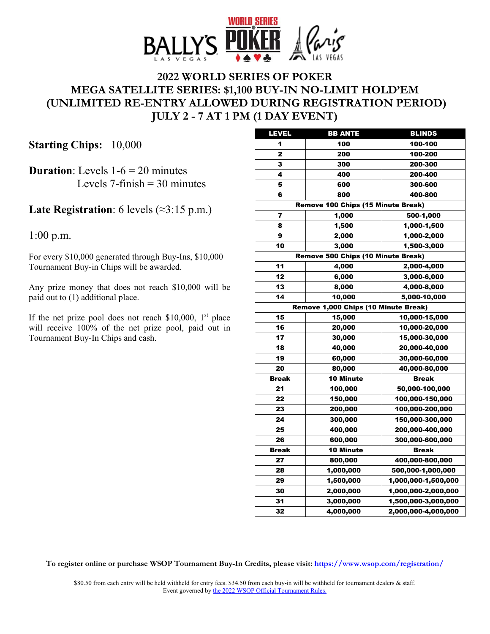

# **2022 WORLD SERIES OF POKER MEGA SATELLITE SERIES: \$1,100 BUY-IN NO-LIMIT HOLD'EM (UNLIMITED RE-ENTRY ALLOWED DURING REGISTRATION PERIOD) JULY 2 - 7 AT 1 PM (1 DAY EVENT)**

**Starting Chips:** 10,000

**Duration**: Levels  $1-6 = 20$  minutes Levels 7-finish  $=$  30 minutes

**Late Registration**: 6 levels (≈3:15 p.m.)

1:00 p.m.

For every \$10,000 generated through Buy-Ins, \$10,000 Tournament Buy-in Chips will be awarded.

Any prize money that does not reach \$10,000 will be paid out to (1) additional place.

If the net prize pool does not reach  $$10,000$ , 1<sup>st</sup> place will receive 100% of the net prize pool, paid out in Tournament Buy-In Chips and cash.

| <b>LEVEL</b>                       | <b>BB ANTE</b>                       | <b>BLINDS</b>       |
|------------------------------------|--------------------------------------|---------------------|
| 1                                  | 100                                  | 100-100             |
| 2                                  | 200                                  | 100-200             |
| 3                                  | 300                                  | 200-300             |
| 4                                  | 400                                  | 200-400             |
| 5                                  | 600                                  | 300-600             |
| 6                                  | 800                                  | 400-800             |
|                                    | Remove 100 Chips (15 Minute Break)   |                     |
| 7                                  | 1,000                                | 500-1,000           |
| 8                                  | 1,500                                | 1,000-1,500         |
| 9                                  | 2,000                                | 1,000-2,000         |
| 10                                 | 3,000                                | 1,500-3,000         |
| Remove 500 Chips (10 Minute Break) |                                      |                     |
| 11                                 | 4,000                                | 2,000-4,000         |
| 12                                 | 6,000                                | 3,000-6,000         |
| 13                                 | 8,000                                | 4,000-8,000         |
| 14                                 | 10,000                               | 5,000-10,000        |
|                                    | Remove 1,000 Chips (10 Minute Break) |                     |
| 15                                 | 15,000                               | 10,000-15,000       |
| 16                                 | 20,000                               | 10,000-20,000       |
| 17                                 | 30,000                               | 15,000-30,000       |
| 18                                 | 40,000                               | 20,000-40,000       |
| 19                                 | 60,000                               | 30,000-60,000       |
| 20                                 | 80,000                               | 40,000-80,000       |
| <b>Break</b>                       | <b>10 Minute</b>                     | <b>Break</b>        |
| 21                                 | 100,000                              | 50,000-100,000      |
| 22                                 | 150,000                              | 100,000-150,000     |
| 23                                 | 200,000                              | 100,000-200,000     |
| 24                                 | 300,000                              | 150,000-300,000     |
| 25                                 | 400,000                              | 200,000-400,000     |
| 26                                 | 600,000                              | 300,000-600,000     |
| Break                              | <b>10 Minute</b>                     | <b>Break</b>        |
| 27                                 | 800,000                              | 400,000-800,000     |
| 28                                 | 1,000,000                            | 500,000-1,000,000   |
| 29                                 | 1,500,000                            | 1,000,000-1,500,000 |
| 30                                 | 2,000,000                            | 1,000,000-2,000,000 |
| 31                                 | 3,000,000                            | 1,500,000-3,000,000 |
| 32                                 | 4,000,000                            | 2,000,000-4,000,000 |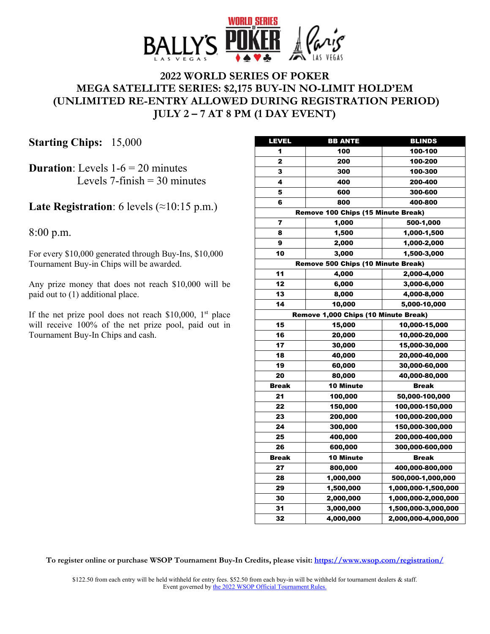

### **2022 WORLD SERIES OF POKER MEGA SATELLITE SERIES: \$2,175 BUY-IN NO-LIMIT HOLD'EM (UNLIMITED RE-ENTRY ALLOWED DURING REGISTRATION PERIOD) JULY 2 – 7 AT 8 PM (1 DAY EVENT)**

**Starting Chips:** 15,000

**Duration:** Levels  $1-6 = 20$  minutes Levels  $7$ -finish = 30 minutes

#### **Late Registration**: 6 levels (≈10:15 p.m.)

8:00 p.m.

For every \$10,000 generated through Buy-Ins, \$10,000 Tournament Buy-in Chips will be awarded.

Any prize money that does not reach \$10,000 will be paid out to (1) additional place.

If the net prize pool does not reach  $$10,000$ , 1<sup>st</sup> place will receive 100% of the net prize pool, paid out in Tournament Buy-In Chips and cash.

| LEVEL        | <b>BB ANTE</b>                       | <b>BLINDS</b>       |
|--------------|--------------------------------------|---------------------|
| 1            | 100                                  | 100-100             |
| 2            | 200                                  | 100-200             |
| 3            | 300                                  | 100-300             |
| 4            | 400                                  | 200-400             |
| 5            | 600                                  | 300-600             |
| 6            | 800                                  | 400-800             |
|              | Remove 100 Chips (15 Minute Break)   |                     |
| 7            | 1,000                                | 500-1,000           |
| 8            | 1,500                                | 1,000-1,500         |
| 9            | 2,000                                | 1,000-2,000         |
| 10           | 3,000                                | 1,500-3,000         |
|              | Remove 500 Chips (10 Minute Break)   |                     |
| 11           | 4,000                                | 2,000-4,000         |
| 12           | 6,000                                | 3,000-6,000         |
| 13           | 8,000                                | 4,000-8,000         |
| 14           | 10,000                               | 5,000-10,000        |
|              | Remove 1,000 Chips (10 Minute Break) |                     |
| 15           | 15,000                               | 10,000-15,000       |
| 16           | 20,000                               | 10,000-20,000       |
| 17           | 30,000                               | 15,000-30,000       |
| 18           | 40,000                               | 20,000-40,000       |
| 19           | 60,000                               | 30,000-60,000       |
| 20           | 80,000                               | 40,000-80,000       |
| <b>Break</b> | <b>10 Minute</b>                     | <b>Break</b>        |
| 21           | 100,000                              | 50,000-100,000      |
| 22           | 150,000                              | 100,000-150,000     |
| 23           | 200,000                              | 100,000-200,000     |
| 24           | 300,000                              | 150,000-300,000     |
| 25           | 400,000                              | 200,000-400,000     |
| 26           | 600,000                              | 300,000-600,000     |
| <b>Break</b> | <b>10 Minute</b>                     | <b>Break</b>        |
| 27           | 800,000                              | 400,000-800,000     |
| 28           | 1,000,000                            | 500,000-1,000,000   |
| 29           | 1,500,000                            | 1,000,000-1,500,000 |
| 30           | 2,000,000                            | 1,000,000-2,000,000 |
| 31           | 3,000,000                            | 1,500,000-3,000,000 |
| 32           | 4,000,000                            | 2,000,000-4,000,000 |

**To register online or purchase WSOP Tournament Buy-In Credits, please visit: <https://www.wsop.com/registration/>**

\$122.50 from each entry will be held withheld for entry fees. \$52.50 from each buy-in will be withheld for tournament dealers & staff. Event governed by the 2022 [WSOP Official Tournament Rules.](https://www.wsop.com/2022/2022%20WSOP%20Tournament%20Rules.pdf)